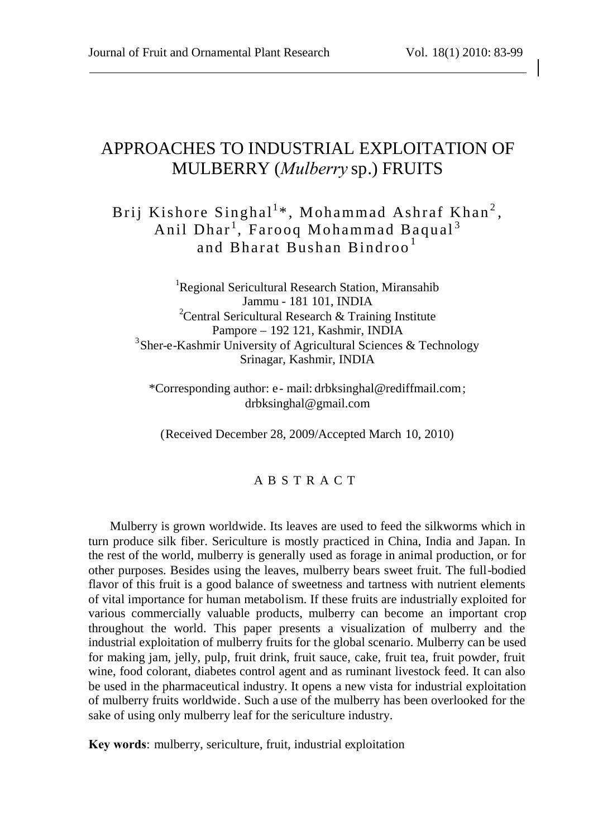# APPROACHES TO INDUSTRIAL EXPLOITATION OF MULBERRY (*Mulberry* sp.) FRUITS

# Brij Kishore Singhal<sup>1</sup>\*, Mohammad Ashraf Khan<sup>2</sup>, Anil Dhar<sup>1</sup>, Farooq Mohammad Baqual<sup>3</sup> and Bharat Bushan Bindroo <sup>1</sup>

<sup>1</sup>Regional Sericultural Research Station, Miransahib Jammu - 181 101, INDIA <sup>2</sup> Central Sericultural Research & Training Institute Pampore – 192 121, Kashmir, INDIA <sup>3</sup> Sher-e-Kashmir University of Agricultural Sciences & Technology Srinagar, Kashmir, INDIA

\*Corresponding author: e- mail: [drbksinghal@rediffmail.com;](mailto:drbksinghal@rediffmail.com) drbksinghal@gmail.com

(Received December 28, 2009/Accepted March 10, 2010)

#### A B S T R A C T

Mulberry is grown worldwide. Its leaves are used to feed the silkworms which in turn produce silk fiber. Sericulture is mostly practiced in China, India and Japan. In the rest of the world, mulberry is generally used as forage in animal production, or for other purposes. Besides using the leaves, mulberry bears sweet fruit. The full-bodied flavor of this fruit is a good balance of sweetness and tartness with nutrient elements of vital importance for human metabolism. If these fruits are industrially exploited for various commercially valuable products, mulberry can become an important crop throughout the world. This paper presents a visualization of mulberry and the industrial exploitation of mulberry fruits for the global scenario. Mulberry can be used for making jam, jelly, pulp, fruit drink, fruit sauce, cake, fruit tea, fruit powder, fruit wine, food colorant, diabetes control agent and as ruminant livestock feed. It can also be used in the pharmaceutical industry. It opens a new vista for industrial exploitation of mulberry fruits worldwide. Such a use of the mulberry has been overlooked for the sake of using only mulberry leaf for the sericulture industry.

**Key words**: mulberry, sericulture, fruit, industrial exploitation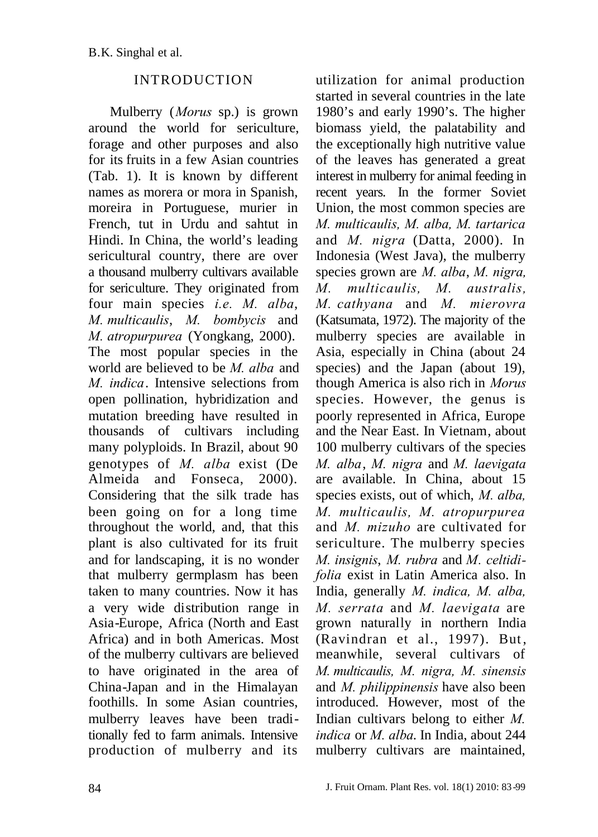#### INTRODUCTION

Mulberry (*Morus* sp.) is grown around the world for sericulture, forage and other purposes and also for its fruits in a few Asian countries (Tab. 1). It is known by different names as morera or mora in Spanish, moreira in Portuguese, murier in French, tut in Urdu and sahtut in Hindi. In China, the world's leading sericultural country, there are over a thousand mulberry cultivars available for sericulture. They originated from four main species *i.e. M. alba*, *M. multicaulis*, *M. bombycis* and *M. atropurpurea* (Yongkang, 2000). The most popular species in the world are believed to be *M. alba* and *M. indica*. Intensive selections from open pollination, hybridization and mutation breeding have resulted in thousands of cultivars including many polyploids. In Brazil, about 90 genotypes of *M. alba* exist (De Almeida and Fonseca, 2000). Considering that the silk trade has been going on for a long time throughout the world, and, that this plant is also cultivated for its fruit and for landscaping, it is no wonder that mulberry germplasm has been taken to many countries. Now it has a very wide distribution range in Asia-Europe, Africa (North and East Africa) and in both Americas. Most of the mulberry cultivars are believed to have originated in the area of China-Japan and in the Himalayan foothills. In some Asian countries, mulberry leaves have been traditionally fed to farm animals. Intensive production of mulberry and its

utilization for animal production started in several countries in the late 1980's and early 1990's. The higher biomass yield, the palatability and the exceptionally high nutritive value of the leaves has generated a great interest in mulberry for animal feeding in recent years. In the former Soviet Union, the most common species are *M. multicaulis, M. alba, M. tartarica* and *M. nigra* (Datta, 2000). In Indonesia (West Java), the mulberry species grown are *M. alba*, *M. nigra, M. multicaulis, M. australis, M. cathyana* and *M. mierovra* (Katsumata, 1972). The majority of the mulberry species are available in Asia, especially in China (about 24 species) and the Japan (about 19), though America is also rich in *Morus* species. However, the genus is poorly represented in Africa, Europe and the Near East. In Vietnam, about 100 mulberry cultivars of the species *M. alba*, *M. nigra* and *M. laevigata* are available. In China, about 15 species exists, out of which, *M. alba, M. multicaulis, M. atropurpurea* and *M. mizuho* are cultivated for sericulture. The mulberry species *M. insignis*, *M. rubra* and *M. celtidifolia* exist in Latin America also. In India, generally *M. indica, M. alba, M. serrata* and *M. laevigata* are grown naturally in northern India (Ravindran et al., 1997). But, meanwhile, several cultivars of *M. multicaulis, M. nigra, M. sinensis* and *M. philippinensis* have also been introduced. However, most of the Indian cultivars belong to either *M. indica* or *M. alba*. In India, about 244 mulberry cultivars are maintained,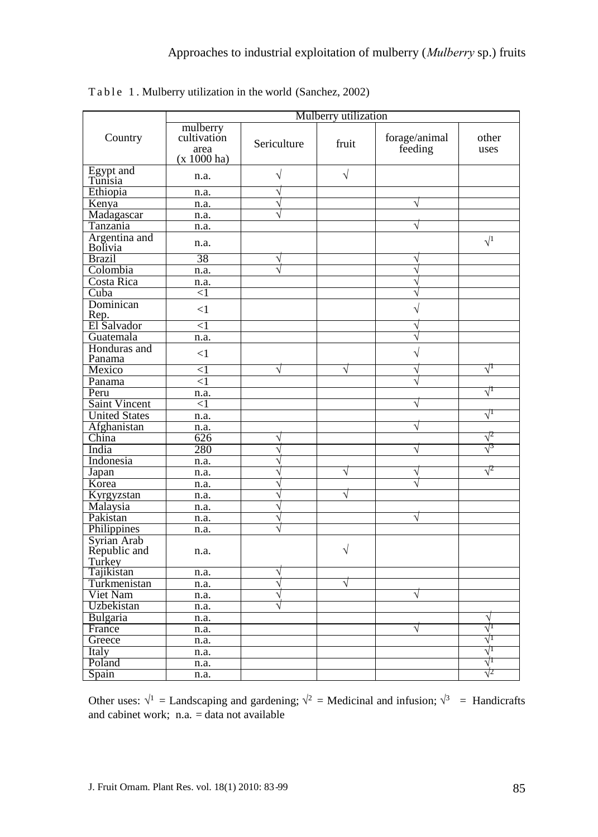|                                       | Mulberry utilization                             |                       |           |                          |                                 |
|---------------------------------------|--------------------------------------------------|-----------------------|-----------|--------------------------|---------------------------------|
| Country                               | mulberry<br>cultivation<br>area<br>$(x 1000$ ha) | Sericulture           | fruit     | forage/animal<br>feeding | other<br>uses                   |
| Egypt and<br>Tunisia                  | n.a.                                             | $\sqrt{}$             | $\sqrt{}$ |                          |                                 |
| Ethiopia                              | n.a.                                             | $\sqrt{}$             |           |                          |                                 |
| Kenya                                 | n.a.                                             | V                     |           | $\sqrt{}$                |                                 |
| Madagascar                            | n.a.                                             | $\overline{\sqrt{ }}$ |           |                          |                                 |
| Tanzania                              | n.a.                                             |                       |           | V                        |                                 |
| Argentina and<br>Bolivia              | n.a.                                             |                       |           |                          | $\sqrt{1}$                      |
| <b>Brazil</b>                         | 38                                               | V                     |           | V                        |                                 |
| Colombia                              | n.a.                                             |                       |           | V                        |                                 |
| Costa Rica                            | n.a.                                             |                       |           | $\sqrt{}$                |                                 |
| Cuba                                  | $<$ l                                            |                       |           | V                        |                                 |
| Dominican<br>Rep.                     | $\leq$ 1                                         |                       |           | $\sqrt{2}$               |                                 |
| El Salvador                           | $<$ 1                                            |                       |           | V                        |                                 |
| Guatemala                             | n.a.                                             |                       |           | V                        |                                 |
| Honduras and<br>Panama                | $<$ 1                                            |                       |           | $\sqrt{ }$               |                                 |
| Mexico                                | $<$ 1                                            | $\sqrt{}$             | √         | V                        | $\sqrt{1}$                      |
| Panama                                | $<$ 1                                            |                       |           | V                        |                                 |
| Peru                                  | n.a.                                             |                       |           |                          | $\sqrt{1}$                      |
| Saint Vincent                         | $< \! 1$                                         |                       |           | V                        |                                 |
| <b>United States</b>                  | n.a.                                             |                       |           |                          | $\sqrt{1}$                      |
| Afghanistan                           | n.a.                                             |                       |           | V                        |                                 |
| China                                 | 626                                              | $\sqrt{}$             |           |                          | $\sqrt{2}$                      |
| India                                 | 280                                              | $\sqrt{}$             |           | V                        | $\sqrt{3}$                      |
| Indonesia                             | n.a.                                             | V                     |           |                          |                                 |
| Japan                                 | n.a.                                             | V                     | $\sqrt{}$ | V                        | $\sqrt{2}$                      |
| Korea                                 | n.a.                                             | V                     |           |                          |                                 |
| Kyrgyzstan                            | n.a.                                             | $\overline{\sqrt{2}}$ | V         |                          |                                 |
| Malaysia                              | n.a.                                             | N                     |           |                          |                                 |
| Pakistan                              | n.a.                                             | $\sqrt{}$             |           | V                        |                                 |
| Philippines                           | n.a.                                             | V                     |           |                          |                                 |
| Syrian Arab<br>Republic and<br>Turkey | n.a.                                             |                       | $\sqrt{}$ |                          |                                 |
| Tajikistan                            | n.a.                                             | V                     |           |                          |                                 |
| Turkmenistan                          | n.a.                                             | V                     | √         |                          |                                 |
| Viet Nam                              | n.a.                                             | V                     |           | V                        |                                 |
| Uzbekistan                            | n.a.                                             | V                     |           |                          |                                 |
| Bulgaria                              | n.a.                                             |                       |           |                          | V                               |
| France                                | n.a.                                             |                       |           | V                        | $\overline{\sqrt{\phantom{1}}}$ |
| Greece                                | n.a.                                             |                       |           |                          | $\sqrt{1}$                      |
| Italy                                 | n.a.                                             |                       |           |                          | $\sqrt{1}$                      |
| Poland                                | n.a.                                             |                       |           |                          | $\sqrt{1}$                      |
| Spain                                 | n.a.                                             |                       |           |                          | $\sqrt{2}$                      |

Table 1. Mulberry utilization in the world (Sanchez, 2002)

Other uses:  $\sqrt{1}$  = Landscaping and gardening;  $\sqrt{2}$  = Medicinal and infusion;  $\sqrt{3}$  = Handicrafts and cabinet work;  $n.a. = data not available$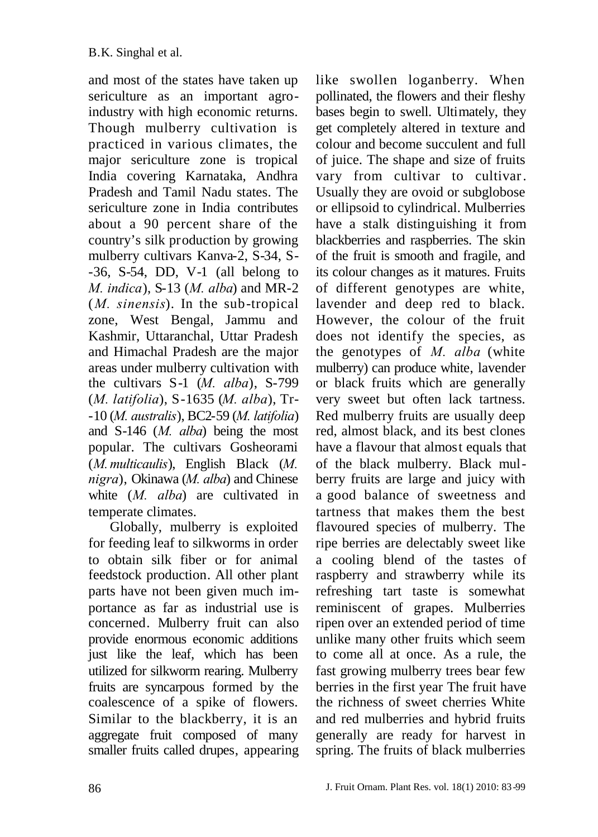and most of the states have taken up sericulture as an important agroindustry with high economic returns. Though mulberry cultivation is practiced in various climates, the major sericulture zone is tropical India covering Karnataka, Andhra Pradesh and Tamil Nadu states. The sericulture zone in India contributes about a 90 percent share of the country's silk production by growing mulberry cultivars Kanva-2, S-34, S- -36, S-54, DD, V-1 (all belong to *M. indica*), S-13 (*M. alba*) and MR-2 (*M. sinensis*). In the sub-tropical zone, West Bengal, Jammu and Kashmir, Uttaranchal, Uttar Pradesh and Himachal Pradesh are the major areas under mulberry cultivation with the cultivars S-1 (*M. alba*), S-799 (*M. latifolia*), S-1635 (*M. alba*), Tr- -10 (*M. australis*), BC2-59 (*M. latifolia*) and S-146 (*M. alba*) being the most popular. The cultivars Gosheorami (*M.multicaulis*), English Black (*M. nigra*), Okinawa (*M. alba*) and Chinese white (*M. alba*) are cultivated in temperate climates.

Globally, mulberry is exploited for feeding leaf to silkworms in order to obtain silk fiber or for animal feedstock production. All other plant parts have not been given much importance as far as industrial use is concerned. Mulberry fruit can also provide enormous economic additions just like the leaf, which has been utilized for silkworm rearing. Mulberry fruits are syncarpous formed by the coalescence of a spike of flowers. Similar to the blackberry, it is an aggregate fruit composed of many smaller fruits called drupes, appearing like swollen loganberry. When pollinated, the flowers and their fleshy bases begin to swell. Ultimately, they get completely altered in texture and colour and become succulent and full of juice. The shape and size of fruits vary from cultivar to cultivar. Usually they are ovoid or subglobose or ellipsoid to cylindrical. Mulberries have a stalk distinguishing it from blackberries and raspberries. The skin of the fruit is smooth and fragile, and its colour changes as it matures. Fruits of different genotypes are white, lavender and deep red to black. However, the colour of the fruit does not identify the species, as the genotypes of *M. alba* (white mulberry) can produce white, lavender or black fruits which are generally very sweet but often lack tartness. Red mulberry fruits are usually deep red, almost black, and its best clones have a flavour that almost equals that of the black mulberry. Black mulberry fruits are large and juicy with a good balance of sweetness and tartness that makes them the best flavoured species of mulberry. The ripe berries are delectably sweet like a cooling blend of the tastes of raspberry and strawberry while its refreshing tart taste is somewhat reminiscent of grapes. Mulberries ripen over an extended period of time unlike many other fruits which seem to come all at once. As a rule, the fast growing mulberry trees bear few berries in the first year The fruit have the richness of sweet cherries White and red mulberries and hybrid fruits generally are ready for harvest in spring. The fruits of black mulberries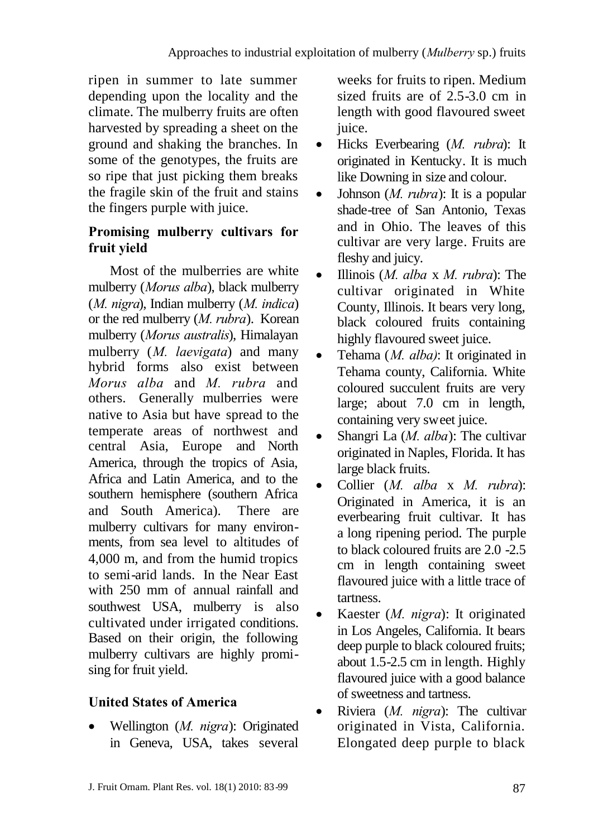ripen in summer to late summer depending upon the locality and the climate. The mulberry fruits are often harvested by spreading a sheet on the ground and shaking the branches. In some of the genotypes, the fruits are so ripe that just picking them breaks the fragile skin of the fruit and stains the fingers purple with juice.

## **Promising mulberry cultivars for fruit yield**

Most of the mulberries are white mulberry (*Morus alba*), black mulberry (*M. nigra*), Indian mulberry (*M. indica*) or the red mulberry (*M. rubra*). Korean mulberry (*Morus australis*), Himalayan mulberry (*M. laevigata*) and many [hybrid](http://www.tropicalforages.info/key/Forages/Media/Html/glossary.htm#FEFF006800790062007200690064) forms also exist between *Morus alba* and *M. rubra* and others. Generally mulberries were native to Asia but have spread to the temperate areas of northwest and central Asia, Europe and North America, through the tropics of Asia, Africa and Latin America, and to the southern hemisphere (southern Africa and South America). There are mulberry cultivars for many environments, from sea level to altitudes of 4,000 m, and from the humid tropics to semi-arid lands. In the Near East with 250 mm of [annual](http://www.tropicalforages.info/key/Forages/Media/Html/glossary.htm#FEFF0061006E006E00750061006C) [rainfall](http://www.tropicalforages.info/key/Forages/Media/Html/glossary.htm#FEFF007200610069006E00660061006C006C) and southwest USA, mulberry is also cultivated under irrigated conditions. Based on their origin, the following mulberry cultivars are highly promising for fruit yield.

# **United States of America**

 Wellington (*M. nigra*): Originated in Geneva, USA, takes several weeks for fruits to ripen. Medium sized fruits are of 2.5-3.0 cm in length with good flavoured sweet juice.

- Hicks Everbearing (*M. [rubra](http://chestofbooks.com/gardening-horticulture/American-Horticultural-Manual-Vol2/Olive-Olea-Europea.html#FEFF00520075006200720061)*): It originated in [Kentucky.](http://chestofbooks.com/gardening-horticulture/American-Horticultural-Manual-Vol2/Varieties-Of-The-Strawberry-I-K.html#FEFF004B0065006E007400750063006B0079) It is much like Downingin size and colour.
- Johnson (*M. rubra*): It is a popular shade-tree of San Antonio, Texas and in [Ohio.](http://chestofbooks.com/gardening-horticulture/American-Horticultural-Manual-Vol2/The-Raspberry.html#FEFF004F00680069006F005F0041006C00640065006E005F) The leaves of this cultivar are very large. Fruits are fleshy and juicy.
- Illinois (*M. alba* x *M. rubra*): The cultivar originated in White County, Illinois. It bears very long, black coloured fruits containing highly flavoured sweet juice.
- Tehama (*M. alba)*: It originated in Tehama county, California. White coloured succulent fruits are very large; about 7.0 cm in length, containing very sweet juice.
- Shangri La (*M. alba*): The cultivar originated in Naples, Florida. It has large black fruits.
- Collier (*M. alba* x *M. rubra*): Originated in America, it is an everbearing fruit cultivar. It has a long ripening period. The purple to black coloured fruits are 2.0 -2.5 cm in length containing sweet flavoured juice with a little trace of tartness.
- Kaester (*M. nigra*): It originated in Los Angeles, California. It bears deep purple to black coloured fruits; about 1.5-2.5 cm in length. Highly flavoured juice with a good balance of sweetness and tartness.
- Riviera (*M. nigra*): The cultivar originated in Vista, California. Elongated deep purple to black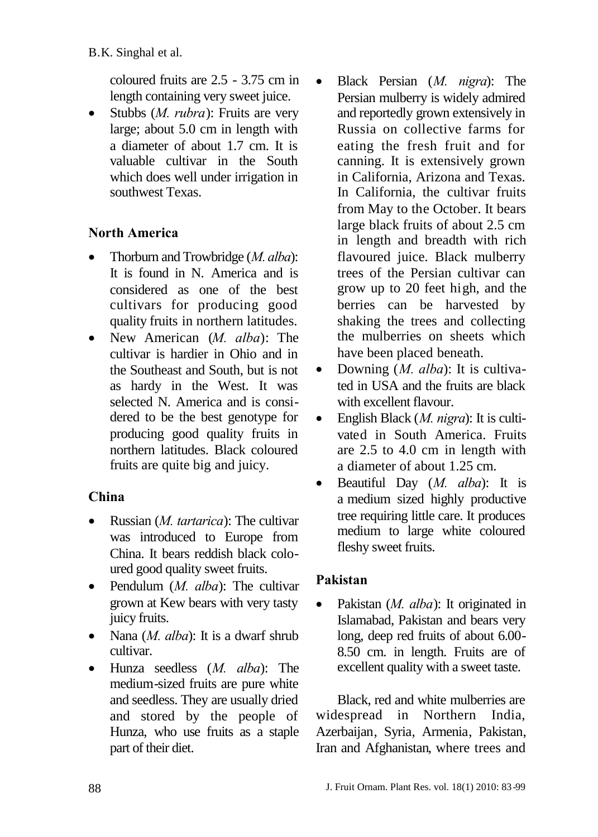coloured fruits are 2.5 - 3.75 cm in length containing very sweet juice.

 Stubbs (*M. rubra*): Fruits are very large; about 5.0 cm in length with a diameter of about 1.7 cm. It is valuable cultivar in the South which does well under irrigation in southwest Texas.

# **North America**

- Thorburn and Trowbridge (*M. alba*): It is found in N. America and is considered as one of the best cultivars for producing good quality fruits in northern latitudes.
- New American (*M. alba*): The cultivar is hardier in Ohio and in the Southeast and South, but is not as hardy in the West. It was selected N. America and is considered to be the best genotype for producing good quality fruits in northern latitudes. Black coloured fruits are quite big and juicy.

# **China**

- Russian (*M. tartarica*): The cultivar was introduced to Europe from China. It bears reddish black coloured good quality sweet fruits.
- Pendulum (*M. alba*): The cultivar grown at Kew bears with very tasty juicy fruits.
- Nana (*M. alba*): It is a dwarf shrub cultivar.
- Hunza seedless (*M. alba*): The medium-sized fruits are pure white and seedless. They are usually dried and stored by the people of Hunza, who use fruits as a staple part of their diet.
- Black Persian (*M. nigra*): The Persian mulberry is widely admired and reportedly grown extensively in Russia on collective farms for eating the fresh fruit and for canning. It is extensively grown in California, Arizona and Texas. In California, the cultivar fruits from May to the October. It bears large black fruits of about 2.5 cm in length and breadth with rich flavoured juice. Black mulberry trees of the Persian cultivar can grow up to 20 feet high, and the berries can be harvested by shaking the trees and collecting the mulberries on sheets which have been placed beneath.
- Downing (*M. alba*): It is cultivated in USA and the fruits are black with excellent flavour.
- English Black (*M. nigra*): It is cultivated in South America. Fruits are 2.5 to 4.0 cm in length with a diameter of about 1.25 cm.
- Beautiful Day (*M. alba*): It is a medium sized highly productive tree requiring little care. It produces medium to large white coloured fleshy sweet fruits.

# **Pakistan**

 Pakistan (*M. alba*): It originated in Islamabad, Pakistan and bears very long, deep red fruits of about 6.00- 8.50 cm. in length. Fruits are of excellent quality with a sweet taste.

Black, red and white mulberries are widespread in Northern [India,](http://www.answers.com/topic/india) [Azerbaijan,](http://www.answers.com/topic/azerbaijan) [Syria,](http://www.answers.com/topic/syria) [Armenia,](http://www.answers.com/topic/armenia) [Pakistan,](http://www.answers.com/topic/pakistan) [Iran](http://www.answers.com/topic/iran) and [Afghanistan,](http://www.answers.com/topic/afghanistan) where trees and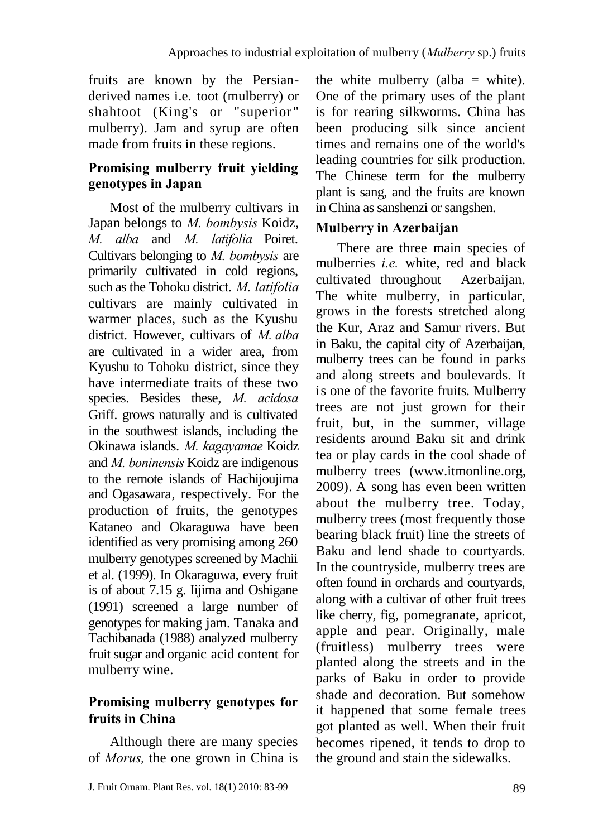fruits are known by the [Persian](http://www.answers.com/topic/persian-language)derived names i.e*.* toot (mulberry) or shahtoot (King's or "superior " mulberry). [Jam](http://www.answers.com/topic/fruit-preserves) and syrup are often made from fruits in these regions.

## **Promising mulberry fruit yielding genotypes in Japan**

Most of the mulberry cultivars in Japan belongs to *M. bombysis* Koidz, *M. alba* and *M. latifolia* Poiret. Cultivars belonging to *M. bombysis* are primarily cultivated in cold regions, such as the Tohoku district. *M. latifolia* cultivars are mainly cultivated in warmer places, such as the Kyushu district. However, cultivars of *M. alba* are cultivated in a wider area, from Kyushu to Tohoku district, since they have intermediate traits of these two species. Besides these, *M. acidosa* Griff. grows naturally and is cultivated in the southwest islands, including the Okinawa islands. *M. kagayamae* Koidz and *M. boninensis* Koidz are indigenous to the remote islands of Hachijoujima and Ogasawara, respectively. For the production of fruits, the genotypes Kataneo and Okaraguwa have been identified as very promising among 260 mulberry genotypes screened by Machii et al. (1999). In Okaraguwa, every fruit is of about 7.15 g. Iijima and Oshigane (1991) screened a large number of genotypes for making jam. Tanaka and Tachibanada (1988) analyzed mulberry fruit sugar and organic acid content for mulberry wine.

#### **Promising mulberry genotypes for fruits in China**

Although there are many species of *Morus,* the one grown in China is the white mulberry (alba  $=$  white). One of the primary uses of the plant is for rearing silkworms. China has been producing silk since ancient times and remains one of the world's leading countries for silk production. The Chinese term for the mulberry plant is sang, and the fruits are known in China as sanshenzi or sangshen.

## **Mulberry in Azerbaijan**

There are three main species of mulberries *i.e.* white, red and black cultivated throughout Azerbaijan. The white mulberry, in particular, grows in the forests stretched along the Kur, Araz and Samur rivers. But in Baku, the capital city of Azerbaijan, mulberry trees can be found in parks and along streets and boulevards. It is one of the favorite fruits. Mulberry trees are not just grown for their fruit, but, in the summer, village residents around Baku sit and drink tea or play cards in the cool shade of mulberry trees (www.itmonline.org, 2009). A song has even been written about the mulberry tree. Today, mulberry trees (most frequently those bearing black fruit) line the streets of Baku and lend shade to courtyards. In the countryside, mulberry trees are often found in orchards and courtyards, along with a cultivar of other fruit trees like cherry, fig, pomegranate, apricot, apple and pear. Originally, male (fruitless) mulberry trees were planted along the streets and in the parks of Baku in order to provide shade and decoration. But somehow it happened that some female trees got planted as well. When their fruit becomes ripened, it tends to drop to the ground and stain the sidewalks.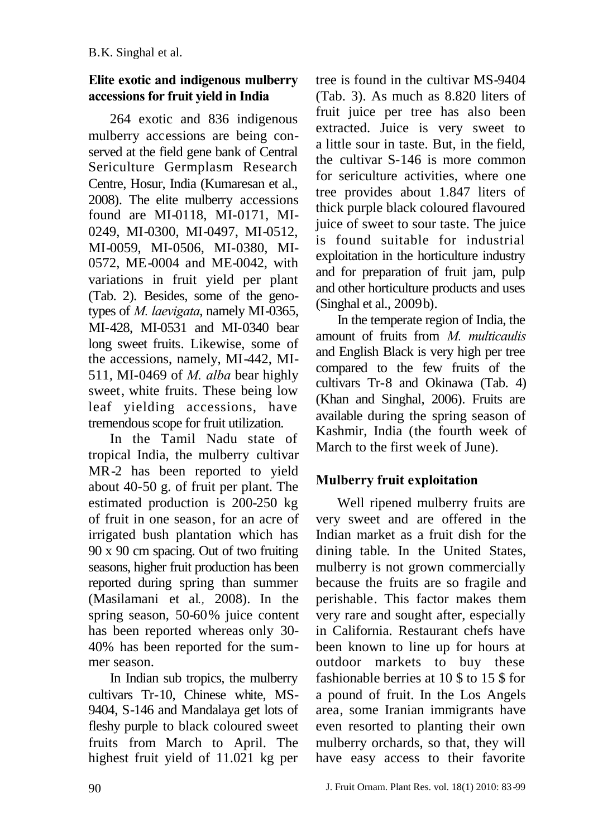## **Elite exotic and indigenous mulberry accessions for fruit yield in India**

264 exotic and 836 indigenous mulberry accessions are being conserved at the field gene bank of Central Sericulture Germplasm Research Centre, Hosur, India (Kumaresan et al., 2008). The elite mulberry accessions found are MI-0118, MI-0171, MI-0249, MI-0300, MI-0497, MI-0512, MI-0059, MI-0506, MI-0380, MI-0572, ME-0004 and ME-0042, with variations in fruit yield per plant (Tab. 2). Besides, some of the genotypes of *M. laevigata*, namely MI-0365, MI-428, MI-0531 and MI-0340 bear long sweet fruits. Likewise, some of the accessions, namely, MI-442, MI-511, MI-0469 of *M. alba* bear highly sweet, white fruits. These being low leaf yielding accessions, have tremendous scope for fruit utilization.

In the Tamil Nadu state of tropical India, the mulberry cultivar MR-2 has been reported to yield about 40-50 g. of fruit per plant. The estimated production is 200-250 kg of fruit in one season, for an acre of irrigated bush plantation which has 90 x 90 cm spacing. Out of two fruiting seasons, higher fruit production has been reported during spring than summer (Masilamani et al*.,* 2008). In the spring season, 50-60% juice content has been reported whereas only 30- 40% has been reported for the summer season.

In Indian sub tropics, the mulberry cultivars Tr-10, Chinese white, MS-9404, S-146 and Mandalaya get lots of fleshy purple to black coloured sweet fruits from March to April. The highest fruit yield of 11.021 kg per

tree is found in the cultivar MS-9404 (Tab. 3). As much as 8.820 liters of fruit juice per tree has also been extracted. Juice is very sweet to a little sour in taste. But, in the field, the cultivar S-146 is more common for sericulture activities, where one tree provides about 1.847 liters of thick purple black coloured flavoured juice of sweet to sour taste. The juice is found suitable for industrial exploitation in the horticulture industry and for preparation of fruit jam, pulp and other horticulture products and uses (Singhal et al., 2009b).

In the temperate region of India, the amount of fruits from *M. multicaulis* and English Black is very high per tree compared to the few fruits of the cultivars Tr-8 and Okinawa (Tab. 4) (Khan and Singhal, 2006). Fruits are available during the spring season of Kashmir, India (the fourth week of March to the first week of June).

# **Mulberry fruit exploitation**

Well ripened mulberry fruits are very sweet and are offered in the Indian market as a fruit dish for the dining table. In the United States, mulberry is not grown commercially because the fruits are so fragile and perishable. This factor makes them very rare and sought after, especially in California. Restaurant chefs have been known to line up for hours at outdoor markets to buy these fashionable berries at 10 \$ to 15 \$ for a pound of fruit. In the Los Angels area, some Iranian immigrants have even resorted to planting their own mulberry orchards, so that, they will have easy access to their favorite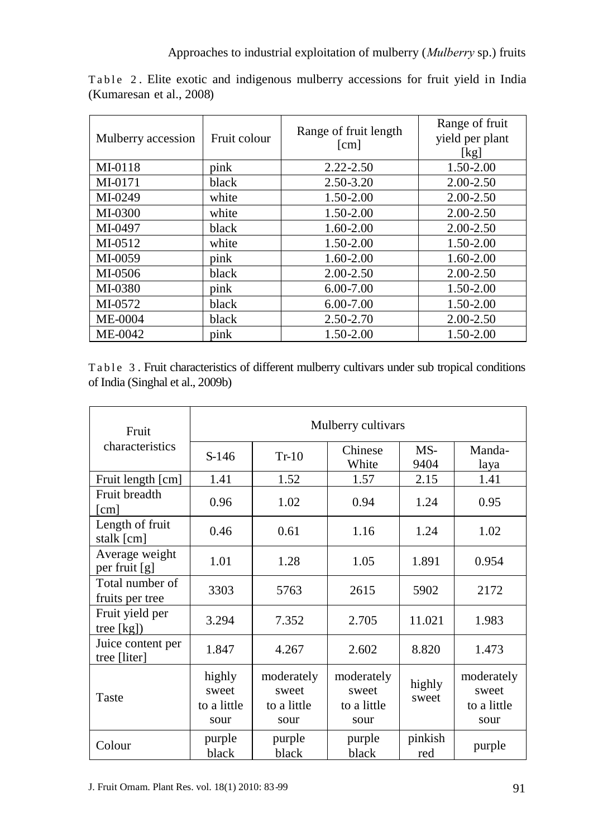| Mulberry accession | Fruit colour | Range of fruit length<br>[cm] | Range of fruit<br>yield per plant<br>[kg] |
|--------------------|--------------|-------------------------------|-------------------------------------------|
| $MI-0118$          | pink         | $2.22 - 2.50$                 | 1.50-2.00                                 |
| MI-0171            | black        | $2.50 - 3.20$                 | $2.00 - 2.50$                             |
| MI-0249            | white        | 1.50-2.00                     | $2.00 - 2.50$                             |
| MI-0300            | white        | 1.50-2.00                     | $2.00 - 2.50$                             |
| MI-0497            | black        | $1.60 - 2.00$                 | $2.00 - 2.50$                             |
| MI-0512            | white        | 1.50-2.00                     | 1.50-2.00                                 |
| MI-0059            | pink         | $1.60 - 2.00$                 | $1.60 - 2.00$                             |
| MI-0506            | black        | $2.00 - 2.50$                 | $2.00 - 2.50$                             |
| MI-0380            | pink         | $6.00 - 7.00$                 | 1.50-2.00                                 |
| MI-0572            | black        | $6.00 - 7.00$                 | 1.50-2.00                                 |
| <b>ME-0004</b>     | black        | 2.50-2.70                     | $2.00 - 2.50$                             |
| ME-0042            | pink         | $1.50 - 2.00$                 | 1.50-2.00                                 |

Table 2. Elite exotic and indigenous mulberry accessions for fruit yield in India (Kumaresan et al., 2008)

Table 3. Fruit characteristics of different mulberry cultivars under sub tropical conditions of India (Singhal et al., 2009b)

| Fruit                                   | Mulberry cultivars                     |                                            |                                            |                 |                                            |
|-----------------------------------------|----------------------------------------|--------------------------------------------|--------------------------------------------|-----------------|--------------------------------------------|
| characteristics                         | $S-146$                                | $Tr-10$                                    | Chinese<br>White                           | MS-<br>9404     | Manda-<br>laya                             |
| Fruit length [cm]                       | 1.41                                   | 1.52                                       | 1.57                                       | 2.15            | 1.41                                       |
| Fruit breadth<br>$\lfloor$ cm $\rfloor$ | 0.96                                   | 1.02                                       | 0.94                                       | 1.24            | 0.95                                       |
| Length of fruit<br>stalk [cm]           | 0.46                                   | 0.61                                       | 1.16                                       | 1.24            | 1.02                                       |
| Average weight<br>per fruit [g]         | 1.01                                   | 1.28                                       | 1.05                                       | 1.891           | 0.954                                      |
| Total number of<br>fruits per tree      | 3303                                   | 5763                                       | 2615                                       | 5902            | 2172                                       |
| Fruit yield per<br>tree $[kg]$          | 3.294                                  | 7.352                                      | 2.705                                      | 11.021          | 1.983                                      |
| Juice content per<br>tree [liter]       | 1.847                                  | 4.267                                      | 2.602                                      | 8.820           | 1.473                                      |
| Taste                                   | highly<br>sweet<br>to a little<br>sour | moderately<br>sweet<br>to a little<br>sour | moderately<br>sweet<br>to a little<br>sour | highly<br>sweet | moderately<br>sweet<br>to a little<br>sour |
| Colour                                  | purple<br>black                        | purple<br>black                            | purple<br>black                            | pinkish<br>red  | purple                                     |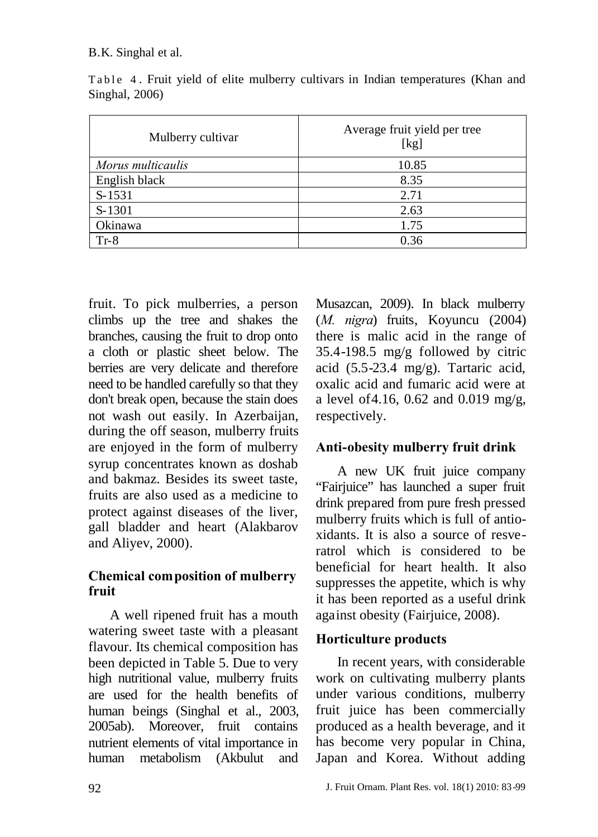#### B.K. Singhal et al.

| Mulberry cultivar | Average fruit yield per tree<br>[kg] |
|-------------------|--------------------------------------|
| Morus multicaulis | 10.85                                |
| English black     | 8.35                                 |
| S-1531            | 2.71                                 |
| S-1301            | 2.63                                 |
| Okinawa           | 1.75                                 |
| $Tr-8$            | 0.36                                 |

Table 4. Fruit yield of elite mulberry cultivars in Indian temperatures (Khan and Singhal, 2006)

fruit. To pick mulberries, a person climbs up the tree and shakes the branches, causing the fruit to drop onto a cloth or plastic sheet below. The berries are very delicate and therefore need to be handled carefully so that they don't break open, because the stain does not wash out easily. In Azerbaijan, during the off season, mulberry fruits are enjoyed in the form of mulberry syrup concentrates known as doshab and bakmaz. Besides its sweet taste, fruits are also used as a medicine to protect against diseases of the liver, gall bladder and heart (Alakbarov and Aliyev, 2000).

#### **Chemical composition of mulberry fruit**

A well ripened fruit has a mouth watering sweet taste with a pleasant flavour. Its chemical composition has been depicted in Table 5. Due to very high nutritional value, mulberry fruits are used for the health benefits of human beings (Singhal et al., 2003, 2005ab). Moreover, fruit contains nutrient elements of vital importance in human metabolism (Akbulut and

Musazcan, 2009). In black mulberry (*M. nigra*) fruits, Koyuncu (2004) there is malic acid in the range of 35.4-198.5 mg/g followed by citric acid (5.5-23.4 mg/g). Tartaric acid, oxalic acid and fumaric acid were at a level of4.16, 0.62 and 0.019 mg/g, respectively.

## **Anti-obesity mulberry fruit drink**

A new UK fruit juice company "Fairjuice" has launched a super fruit drink prepared from pure fresh pressed mulberry fruits which is full of antioxidants. It is also a source of resveratrol which is considered to be beneficial for heart health. It also suppresses the appetite, which is why it has been reported as a useful drink against obesity (Fairjuice, 2008).

## **Horticulture products**

In recent years, with considerable work on cultivating mulberry plants under various conditions, mulberry fruit juice has been commercially produced as a health beverage, and it has become very popular in China, Japan and Korea. Without adding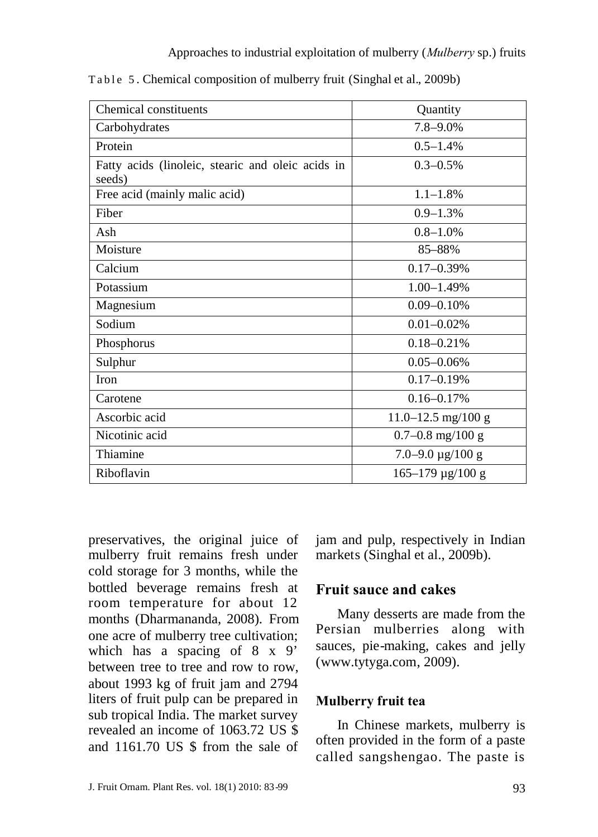| Chemical constituents                                       | Quantity                    |  |  |
|-------------------------------------------------------------|-----------------------------|--|--|
| Carbohydrates                                               | $7.8 - 9.0\%$               |  |  |
| Protein                                                     | $0.5 - 1.4\%$               |  |  |
| Fatty acids (linoleic, stearic and oleic acids in<br>seeds) | $0.3 - 0.5\%$               |  |  |
| Free acid (mainly malic acid)                               | $1.1 - 1.8\%$               |  |  |
| Fiber                                                       | $0.9 - 1.3\%$               |  |  |
| Ash                                                         | $0.8 - 1.0%$                |  |  |
| Moisture                                                    | 85-88%                      |  |  |
| Calcium                                                     | $0.17 - 0.39\%$             |  |  |
| Potassium                                                   | $1.00 - 1.49%$              |  |  |
| Magnesium                                                   | $0.09 - 0.10\%$             |  |  |
| Sodium                                                      | $0.01 - 0.02\%$             |  |  |
| Phosphorus                                                  | $0.18 - 0.21%$              |  |  |
| Sulphur                                                     | $0.05 - 0.06\%$             |  |  |
| <b>Iron</b>                                                 | $0.17 - 0.19%$              |  |  |
| Carotene                                                    | $0.16 - 0.17\%$             |  |  |
| Ascorbic acid                                               | $11.0 - 12.5$ mg/100 g      |  |  |
| Nicotinic acid                                              | $0.7 - 0.8$ mg/100 g        |  |  |
| Thiamine                                                    | $7.0 - 9.0 \,\mu g/100 \,g$ |  |  |
| Riboflavin                                                  | $165 - 179 \,\mu g/100 \,g$ |  |  |

Table 5. Chemical composition of mulberry fruit (Singhal et al., 2009b)

preservatives, the original juice of mulberry fruit remains fresh under cold storage for 3 months, while the bottled beverage remains fresh at room temperature for about 12 months (Dharmananda, 2008). From one acre of mulberry tree cultivation; which has a spacing of 8 x 9' between tree to tree and row to row about 1993 kg of fruit jam and 2794 liters of fruit pulp can be prepared in sub tropical India. The market survey revealed an income of 1063.72 US \$ and 1161.70 US \$ from the sale of

jam and pulp, respectively in Indian markets (Singhal et al., 2009b).

#### **Fruit sauce and cakes**

Many desserts are made from the Persian mulberries along with sauces, pie-making, cakes and jelly ([www.tytyga.com,](http://www.tytyga.com/) 2009).

#### **Mulberry fruit tea**

In Chinese markets, mulberry is often provided in the form of a paste called sangshengao. The paste is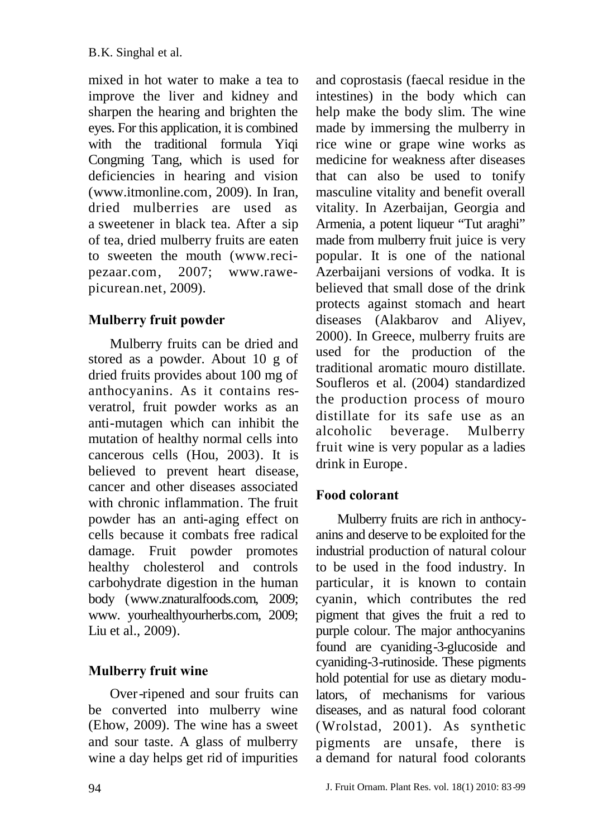mixed in hot water to make a tea to improve the liver and kidney and sharpen the hearing and brighten the eyes. For this application, it is combined with the traditional formula Yiqi Congming Tang, which is used for deficiencies in hearing and vision ([www.itmonline.com,](http://www.itmonline.com/) 2009). In Iran, dried mulberries are used as a sweetener in black tea. After a sip of tea, dried mulberry fruits are eaten to sweeten the mouth([www.reci](http://www.reci-pezaar.com/)[pezaar.com,](http://www.reci-pezaar.com/) 2007; [www.rawe](http://www.rawe-picurean.net/)[picurean.net,](http://www.rawe-picurean.net/) 2009).

## **Mulberry fruit powder**

Mulberry fruits can be dried and stored as a powder. About 10 g of dried fruits provides about 100 mg of anthocyanins. As it contains resveratrol, fruit powder works as an anti-mutagen which can inhibit the mutation of healthy normal cells into cancerous cells (Hou, 2003). It is believed to prevent heart disease, cancer and other diseases associated with chronic inflammation. The fruit powder has an anti-aging effect on cells because it combats free radical damage. Fruit powder promotes healthy cholesterol and controls carbohydrate digestion in the human body ([www.znaturalfoods.com,](http://www.znaturalfoods.com/) 2009; www. yourhealthyourherbs.com, 2009; Liu et al., 2009).

## **Mulberry fruit wine**

Over-ripened and sour fruits can be converted into mulberry wine (Ehow, 2009). The wine has a sweet and sour taste. A glass of mulberry wine a day helps get rid of impurities

and coprostasis (faecal residue in the intestines) in the body which can help make the body slim. The wine made by immersing the mulberry in rice wine or grape wine works as medicine for weakness after diseases that can also be used to tonify masculine vitality and benefit overall vitality. In Azerbaijan, Georgia and Armenia, a potent liqueur "Tut araghi" made from mulberry fruit juice is very popular. It is one of the national Azerbaijani versions of vodka. It is believed that small dose of the drink protects against stomach and heart diseases (Alakbarov and Aliyev, 2000). In Greece, mulberry fruits are used for the production of the traditional aromatic mouro distillate. Soufleros et al. (2004) standardized the production process of mouro distillate for its safe use as an alcoholic beverage. Mulberry fruit wine is very popular as a ladies drink in Europe.

## **Food colorant**

Mulberry fruits are rich in anthocyanins and deserve to be exploited for the industrial production of natural colour to be used in the food industry. In particular, it is known to contain cyanin, which contributes the red pigment that gives the fruit a red to purple colour. The major anthocyanins found are cyaniding-3-glucoside and cyaniding-3-rutinoside. These pigments hold potential for use as dietary modulators, of mechanisms for various diseases, and as natural food colorant (Wrolstad, 2001). As synthetic pigments are unsafe, there is a demand for natural food colorants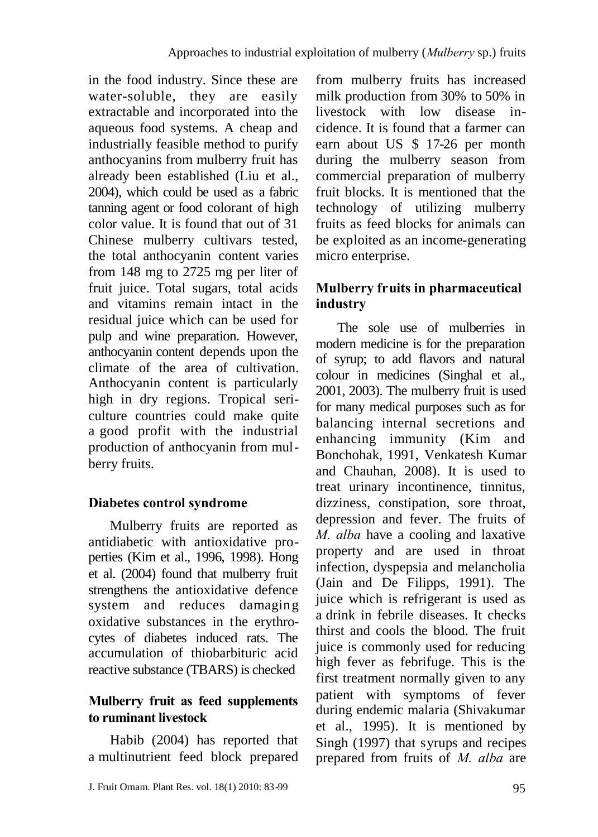in the food industry. Since these are water-soluble, they are easily extractable and incorporated into the aqueous food systems. A cheap and industrially feasible method to purify anthocyanins from mulberry fruit has already been established (Liu et al., 2004), which could be used as a fabric [tanning](http://www.answers.com/topic/tanning) agent or food colorant of high color value. It is found that out of 31 Chinese mulberry cultivars tested, the total anthocyanin content varies from 148 mg to 2725 mg per liter of fruit juice. Total sugars, total acids and vitamins remain intact in the residual juice which can be used for pulp and wine preparation. However, anthocyanin content depends upon the climate of the area of cultivation. Anthocyanin content is particularly high in dry regions. Tropical [seri](http://www.answers.com/topic/sericulture-2)[culture](http://www.answers.com/topic/sericulture-2) countries could make quite a good profit with the industrial production of anthocyanin from mulberry fruits.

# **Diabetes control syndrome**

Mulberry fruits are reported as antidiabetic with antioxidative properties (Kim et al., 1996, 1998). Hong et al. (2004) found that mulberry fruit strengthens the antioxidative defence system and reduces damaging oxidative substances in the erythrocytes of diabetes induced rats. The accumulation of thiobarbituric acid reactive substance (TBARS) is checked

# **Mulberry fruit as feed supplements to ruminant livestock**

Habib (2004) has reported that a multinutrient feed block prepared from mulberry fruits has increased milk production from 30% to 50% in livestock with low disease incidence. It is found that a farmer can earn about US \$ 17-26 per month during the mulberry season from commercial preparation of mulberry fruit blocks. It is mentioned that the technology of utilizing mulberry fruits as feed blocks for animals can be exploited as an income-generating micro enterprise.

# **Mulberry fruits in pharmaceutical industry**

The sole use of mulberries in modern medicine is for the preparation of syrup; to add flavors and natural colour in medicines (Singhal et al., 2001, 2003). The mulberry fruit is used for many medical purposes such as for balancing internal secretions and enhancing immunity (Kim and Bonchohak, 1991, Venkatesh Kumar and Chauhan, 2008). It is used to treat urinary incontinence, tinnitus, dizziness, constipation, sore throat, depression and fever. The fruits of *M. alba* have a cooling and laxative property and are used in throat infection, dyspepsia and melancholia (Jain and De Filipps, 1991). The juice which is refrigerant is used as a drink in febrile diseases. It checks thirst and cools the blood. The fruit juice is commonly used for reducing high fever as febrifuge. This is the first treatment normally given to any patient with symptoms of fever during endemic malaria (Shivakumar et al., 1995). It is mentioned by Singh (1997) that syrups and recipes prepared from fruits of *M. alba* are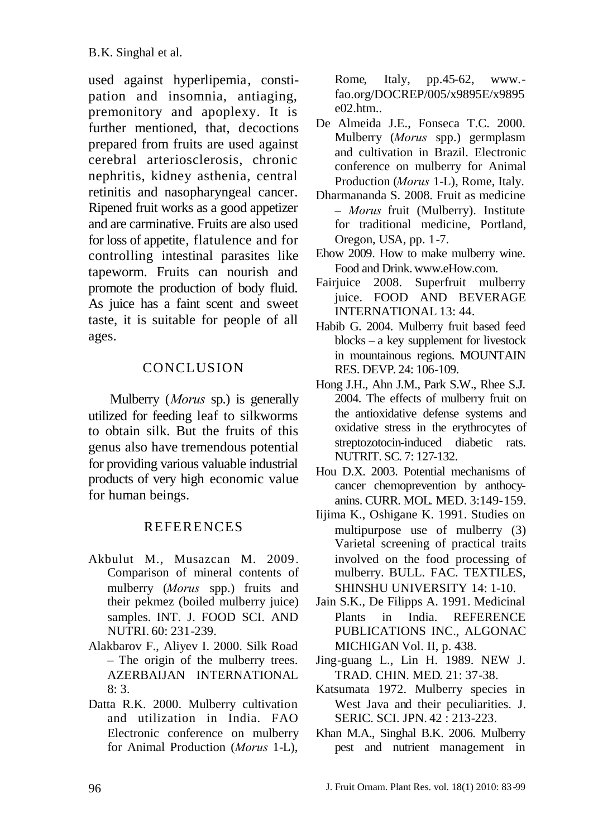used against hyperlipemia, constipation and insomnia, antiaging, premonitory and apoplexy. It is further mentioned, that, decoctions prepared from fruits are used against cerebral arteriosclerosis, chronic nephritis, kidney asthenia, central retinitis and nasopharyngeal cancer. Ripened fruit works as a good appetizer and are carminative. Fruits are also used for loss of appetite, flatulence and for controlling intestinal parasites like tapeworm. Fruits can nourish and promote the production of body fluid. As juice has a faint scent and sweet taste, it is suitable for people of all ages.

## **CONCLUSION**

Mulberry (*Morus* sp.) is generally utilized for feeding leaf to silkworms to obtain silk. But the fruits of this genus also have tremendous potential for providing various valuable industrial products of very high economic value for human beings.

#### **REFERENCES**

- Akbulut M., Musazcan M. 2009. Comparison of mineral contents of mulberry (*Morus* spp.) fruits and their pekmez (boiled mulberry juice) samples. INT. J. FOOD SCI. AND NUTRI. 60: 231-239.
- Alakbarov F., Aliyev I. 2000. Silk Road – The origin of the mulberry trees. AZERBAIJAN INTERNATIONAL 8: 3.
- Datta R.K. 2000. Mulberry cultivation and utilization in India. FAO Electronic conference on mulberry for Animal Production (*Morus* 1-L),

Rome, Italy, pp.45-62, www. fao.org/DOCREP/005/x9895E/x9895 e02.htm..

- De Almeida J.E., Fonseca T.C. 2000. Mulberry (*Morus* spp.) germplasm and cultivation in Brazil. Electronic conference on mulberry for Animal Production (*Morus* 1-L), Rome, Italy.
- Dharmananda S. 2008. Fruit as medicine – *Morus* fruit (Mulberry). Institute for traditional medicine, Portland, Oregon, USA, pp. 1-7.
- Ehow 2009. How to make mulberry wine. Food and Drink. [www.eHow.com.](http://www.ehow.com/)
- Fairjuice 2008. Superfruit mulberry juice. FOOD AND BEVERAGE INTERNATIONAL 13: 44.
- Habib G. 2004. Mulberry fruit based feed blocks – a key supplement for livestock in mountainous regions. MOUNTAIN RES. DEVP. 24: 106-109.
- Hong J.H., Ahn J.M., Park S.W., Rhee S.J. 2004. The effects of mulberry fruit on the antioxidative defense systems and oxidative stress in the erythrocytes of streptozotocin-induced diabetic rats. NUTRIT. SC. 7: 127-132.
- Hou D.X. 2003. Potential mechanisms of cancer chemoprevention by anthocyanins. CURR. MOL. MED. 3:149-159.
- Iijima K., Oshigane K. 1991. Studies on multipurpose use of mulberry (3) Varietal screening of practical traits involved on the food processing of mulberry. BULL. FAC. TEXTILES, SHINSHU UNIVERSITY 14: 1-10.
- Jain S.K., De Filipps A. 1991. Medicinal Plants in India. REFERENCE PUBLICATIONS INC., ALGONAC MICHIGAN Vol. II, p. 438.
- Jing-guang L., Lin H. 1989. NEW J. TRAD. CHIN. MED. 21: 37-38.
- Katsumata 1972. Mulberry species in West Java and their peculiarities. J. SERIC. SCI. JPN. 42 : 213-223.
- Khan M.A., Singhal B.K. 2006. Mulberry pest and nutrient management in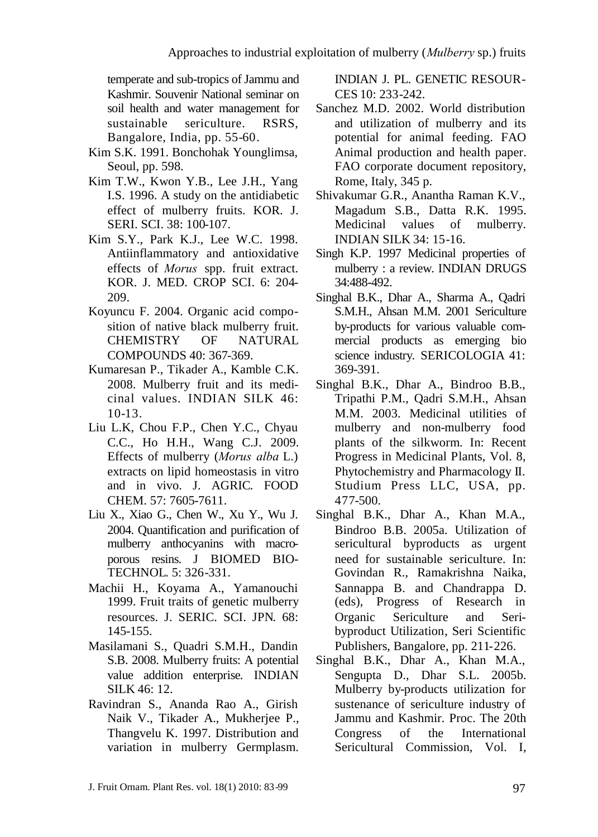temperate and sub-tropics of Jammu and Kashmir. Souvenir National seminar on soil health and water management for sustainable sericulture. RSRS, Bangalore, India, pp. 55-60.

- Kim S.K. 1991. Bonchohak Younglimsa, Seoul, pp. 598.
- Kim T.W., Kwon Y.B., Lee J.H., Yang I.S. 1996. A study on the antidiabetic effect of mulberry fruits. KOR. J. SERI. SCI. 38: 100-107.
- Kim S.Y., Park K.J., Lee W.C. 1998. Antiinflammatory and antioxidative effects of *Morus* spp. fruit extract. KOR. J. MED. CROP SCI. 6: 204- 209.
- Koyuncu F. 2004. Organic acid composition of native black mulberry fruit. CHEMISTRY OF NATURAL COMPOUNDS 40: 367-369.
- Kumaresan P., Tikader A., Kamble C.K. 2008. Mulberry fruit and its medicinal values. INDIAN SILK 46: 10-13.
- Liu L.K, Chou F.P., Chen Y.C., Chyau C.C., Ho H.H., Wang C.J. 2009. Effects of mulberry (*Morus alba* L.) extracts on lipid homeostasis in vitro and in vivo. J. AGRIC. FOOD CHEM. 57: 7605-7611.
- Liu X., Xiao G., Chen W., Xu Y., Wu J. 2004. Quantification and purification of mulberry anthocyanins with macroporous resins. J BIOMED BIO-TECHNOL. 5: 326-331.
- Machii H., Koyama A., Yamanouchi 1999. Fruit traits of genetic mulberry resources. J. SERIC. SCI. JPN. 68: 145-155.
- Masilamani S., Quadri S.M.H., Dandin S.B. 2008. Mulberry fruits: A potential value addition enterprise. INDIAN SILK 46: 12.
- Ravindran S., Ananda Rao A., Girish Naik V., Tikader A., Mukherjee P., Thangvelu K. 1997. Distribution and variation in mulberry Germplasm.

INDIAN J. PL. GENETIC RESOUR-CES 10: 233-242.

- Sanchez M.D. 2002. World distribution and utilization of mulberry and its potential for animal feeding. FAO Animal production and health paper. FAO corporate document repository, Rome, Italy, 345 p.
- Shivakumar G.R., Anantha Raman K.V., Magadum S.B., Datta R.K. 1995. Medicinal values of mulberry. INDIAN SILK 34: 15-16.
- Singh K.P. 1997 Medicinal properties of mulberry : a review. INDIAN DRUGS 34:488-492.
- Singhal B.K., Dhar A., Sharma A., Qadri S.M.H., Ahsan M.M. 2001 Sericulture by-products for various valuable commercial products as emerging bio science industry. SERICOLOGIA 41: 369-391.
- Singhal B.K., Dhar A., Bindroo B.B., Tripathi P.M., Qadri S.M.H., Ahsan M.M. 2003. Medicinal utilities of mulberry and non-mulberry food plants of the silkworm. In: Recent Progress in Medicinal Plants, Vol. 8, Phytochemistry and Pharmacology II. Studium Press LLC, USA, pp. 477-500.
- Singhal B.K., Dhar A., Khan M.A., Bindroo B.B. 2005a. Utilization of sericultural byproducts as urgent need for sustainable sericulture. In: Govindan R., Ramakrishna Naika, Sannappa B. and Chandrappa D. (eds), Progress of Research in Organic Sericulture and Seribyproduct Utilization, Seri Scientific Publishers, Bangalore, pp. 211-226.
- Singhal B.K., Dhar A., Khan M.A., Sengupta D., Dhar S.L. 2005b. Mulberry by-products utilization for sustenance of sericulture industry of Jammu and Kashmir. Proc. The 20th Congress of the International Sericultural Commission, Vol. I,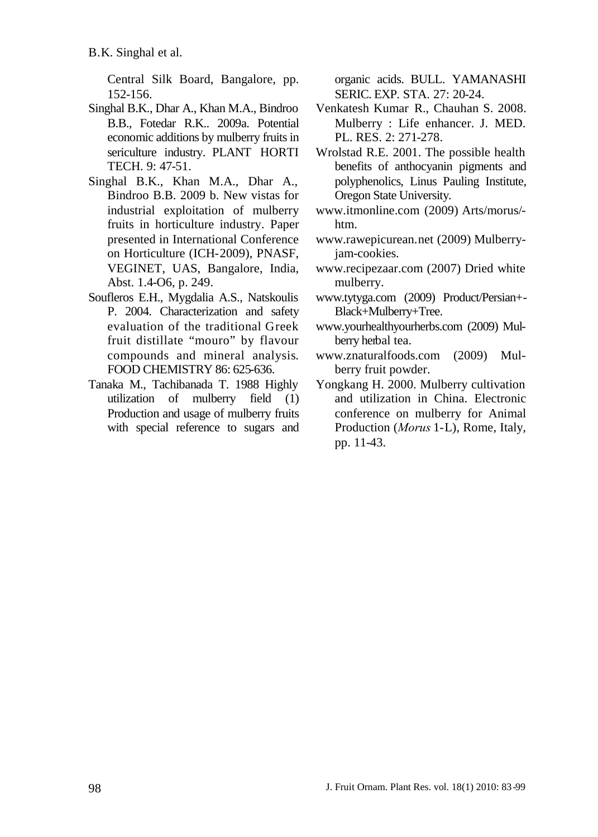Central Silk Board, Bangalore, pp. 152-156.

- Singhal B.K., Dhar A., Khan M.A., Bindroo B.B., Fotedar R.K.. 2009a. Potential economic additions by mulberry fruits in sericulture industry. PLANT HORTI TECH. 9: 47-51.
- Singhal B.K., Khan M.A., Dhar A., Bindroo B.B. 2009 b. New vistas for industrial exploitation of mulberry fruits in horticulture industry. Paper presented in International Conference on Horticulture (ICH-2009), PNASF, VEGINET, UAS, Bangalore, India, Abst. 1.4-O6, p. 249.
- Soufleros E.H., Mygdalia A.S., Natskoulis P. 2004. Characterization and safety evaluation of the traditional Greek fruit distillate "mouro" by flavour compounds and mineral analysis. FOOD CHEMISTRY 86: 625-636.
- Tanaka M., Tachibanada T. 1988 Highly utilization of mulberry field (1) Production and usage of mulberry fruits with special reference to sugars and

organic acids. BULL. YAMANASHI SERIC. EXP. STA. 27: 20-24.

- Venkatesh Kumar R., Chauhan S. 2008. Mulberry : Life enhancer. J. MED. PL. RES. 2: 271-278.
- Wrolstad R.E. 2001. The possible health benefits of anthocyanin pigments and polyphenolics, Linus Pauling Institute, Oregon State University.
- [www.itmonline.com](http://www.itmonline.com/) (2009) Arts/morus/ htm.
- [www.rawepicurean.n](http://www.rawepicurean./)et (2009) Mulberryjam-cookies.
- [www.recipezaar.com](http://www.recipezaar.com/) (2007) Dried white mulberry.
- [www.tytyga.com](http://www.tytyga.com/) (2009) Product/Persian+- Black+Mulberry+Tree.
- [www.yourhealthyourherbs.com](http://www.yourhealthyourherbs.com/) (2009) Mulberry herbal tea.
- [www.znaturalfoods.com](http://www.znaturalfoods.com/) (2009) Mulberry fruit powder.
- Yongkang H. 2000. Mulberry cultivation and utilization in China. Electronic conference on mulberry for Animal Production (*Morus* 1-L), Rome, Italy, pp. 11-43.